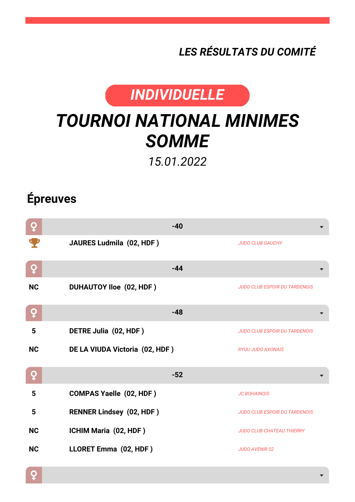*LES RÉSULTATS DU COMITÉ*



## *TOURNOI NATIONAL MINIMES SOMME*

*15.01.2022*

## **Épreuves**

| ò         | $-40$                           |                                      |
|-----------|---------------------------------|--------------------------------------|
|           | JAURES Ludmila (02, HDF)        | <b>JUDO CLUB GAUCHY</b>              |
| Q         | $-44$                           |                                      |
| <b>NC</b> | <b>DUHAUTOY Iloe (02, HDF)</b>  | <b>JUDO CLUB ESPOIR DU TARDENOIS</b> |
| Q         | $-48$                           |                                      |
| 5         | DETRE Julia (02, HDF)           | <b>JUDO CLUB ESPOIR DU TARDENOIS</b> |
| <b>NC</b> | DE LA VIUDA Victoria (02, HDF)  | <b>RYUU JUDO AXONAIS</b>             |
| Q         | $-52$                           |                                      |
| 5         | <b>COMPAS Yaelle (02, HDF)</b>  | <b>JC BOHAINOIS</b>                  |
| 5         | <b>RENNER Lindsey (02, HDF)</b> | <b>JUDO CLUB ESPOIR DU TARDENOIS</b> |
| <b>NC</b> | ICHIM Maria (02, HDF)           | <b>JUDO CLUB CHATEAU THIERRY</b>     |
| <b>NC</b> | LLORET Emma (02, HDF)           | <b>JUDO AVENIR 02</b>                |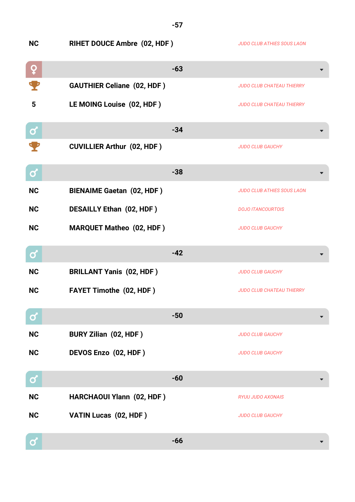| <b>NC</b>    | <b>RIHET DOUCE Ambre (02, HDF)</b> |       | <b>JUDO CLUB ATHIES SOUS LAON</b> |
|--------------|------------------------------------|-------|-----------------------------------|
| ò            |                                    | $-63$ |                                   |
|              | <b>GAUTHIER Celiane (02, HDF)</b>  |       | <b>JUDO CLUB CHATEAU THIERRY</b>  |
| 5            | LE MOING Louise (02, HDF)          |       | <b>JUDO CLUB CHATEAU THIERRY</b>  |
| $\mathbf{Q}$ |                                    | $-34$ |                                   |
|              | <b>CUVILLIER Arthur (02, HDF)</b>  |       | <b>JUDO CLUB GAUCHY</b>           |
| $\mathbf C$  |                                    | $-38$ |                                   |
| <b>NC</b>    | <b>BIENAIME Gaetan (02, HDF)</b>   |       | <b>JUDO CLUB ATHIES SOUS LAON</b> |
| <b>NC</b>    | <b>DESAILLY Ethan (02, HDF)</b>    |       | <b>DOJO ITANCOURTOIS</b>          |
| <b>NC</b>    | <b>MARQUET Matheo (02, HDF)</b>    |       | <b>JUDO CLUB GAUCHY</b>           |
|              |                                    |       |                                   |
| Ø            |                                    | $-42$ |                                   |
| <b>NC</b>    | <b>BRILLANT Yanis (02, HDF)</b>    |       | <b>JUDO CLUB GAUCHY</b>           |
| <b>NC</b>    | <b>FAYET Timothe (02, HDF)</b>     |       | <b>JUDO CLUB CHATEAU THIERRY</b>  |
| $\bullet$    |                                    | $-50$ |                                   |
| <b>NC</b>    | <b>BURY Zilian (02, HDF)</b>       |       | <b>JUDO CLUB GAUCHY</b>           |
| <b>NC</b>    | DEVOS Enzo (02, HDF)               |       | <b>JUDO CLUB GAUCHY</b>           |
| Ø            |                                    | $-60$ |                                   |
| <b>NC</b>    | HARCHAOUI Ylann (02, HDF)          |       | <b>RYUU JUDO AXONAIS</b>          |
| <b>NC</b>    | VATIN Lucas (02, HDF)              |       | <b>JUDO CLUB GAUCHY</b>           |

**-57**